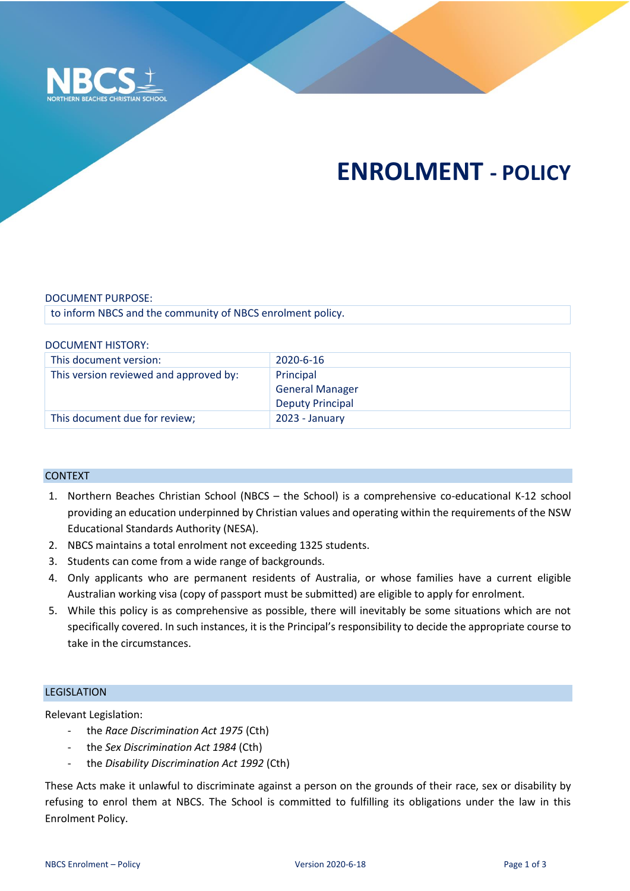

# **ENROLMENT - POLICY**

#### DOCUMENT PURPOSE:

to inform NBCS and the community of NBCS enrolment policy.

#### DOCUMENT HISTORY:

| This document version:                 | 2020-6-16               |
|----------------------------------------|-------------------------|
| This version reviewed and approved by: | Principal               |
|                                        | <b>General Manager</b>  |
|                                        | <b>Deputy Principal</b> |
| This document due for review;          | 2023 - January          |

## CONTEXT

- 1. Northern Beaches Christian School (NBCS the School) is a comprehensive co-educational K-12 school providing an education underpinned by Christian values and operating within the requirements of the NSW Educational Standards Authority (NESA).
- 2. NBCS maintains a total enrolment not exceeding 1325 students.
- 3. Students can come from a wide range of backgrounds.
- 4. Only applicants who are permanent residents of Australia, or whose families have a current eligible Australian working visa (copy of passport must be submitted) are eligible to apply for enrolment.
- 5. While this policy is as comprehensive as possible, there will inevitably be some situations which are not specifically covered. In such instances, it is the Principal's responsibility to decide the appropriate course to take in the circumstances.

## LEGISLATION

Relevant Legislation:

- the *Race Discrimination Act 1975* (Cth)
- the *Sex Discrimination Act 1984* (Cth)
- the *Disability Discrimination Act 1992* (Cth)

These Acts make it unlawful to discriminate against a person on the grounds of their race, sex or disability by refusing to enrol them at NBCS. The School is committed to fulfilling its obligations under the law in this Enrolment Policy.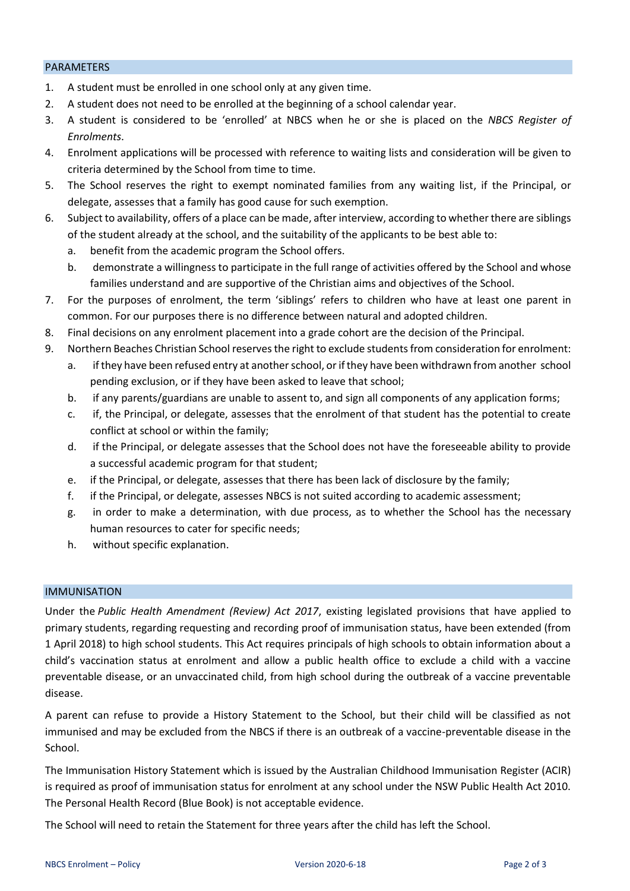#### PARAMETERS

- 1. A student must be enrolled in one school only at any given time.
- 2. A student does not need to be enrolled at the beginning of a school calendar year.
- 3. A student is considered to be 'enrolled' at NBCS when he or she is placed on the *NBCS Register of Enrolments*.
- 4. Enrolment applications will be processed with reference to waiting lists and consideration will be given to criteria determined by the School from time to time.
- 5. The School reserves the right to exempt nominated families from any waiting list, if the Principal, or delegate, assesses that a family has good cause for such exemption.
- 6. Subject to availability, offers of a place can be made, after interview, according to whether there are siblings of the student already at the school, and the suitability of the applicants to be best able to:
	- a. benefit from the academic program the School offers.
	- b. demonstrate a willingness to participate in the full range of activities offered by the School and whose families understand and are supportive of the Christian aims and objectives of the School.
- 7. For the purposes of enrolment, the term 'siblings' refers to children who have at least one parent in common. For our purposes there is no difference between natural and adopted children.
- 8. Final decisions on any enrolment placement into a grade cohort are the decision of the Principal.
- 9. Northern Beaches Christian School reserves the right to exclude students from consideration for enrolment: a. if they have been refused entry at another school, or if they have been withdrawn from another school pending exclusion, or if they have been asked to leave that school;
	- b. if any parents/guardians are unable to assent to, and sign all components of any application forms;
	- c. if, the Principal, or delegate, assesses that the enrolment of that student has the potential to create conflict at school or within the family;
	- d. if the Principal, or delegate assesses that the School does not have the foreseeable ability to provide a successful academic program for that student;
	- e. if the Principal, or delegate, assesses that there has been lack of disclosure by the family;
	- f. if the Principal, or delegate, assesses NBCS is not suited according to academic assessment;
	- g. in order to make a determination, with due process, as to whether the School has the necessary human resources to cater for specific needs;
	- h. without specific explanation.

## IMMUNISATION

Under the *Public Health Amendment (Review) Act 2017*, existing legislated provisions that have applied to primary students, regarding requesting and recording proof of immunisation status, have been extended (from 1 April 2018) to high school students. This Act requires principals of high schools to obtain information about a child's vaccination status at enrolment and allow a public health office to exclude a child with a vaccine preventable disease, or an unvaccinated child, from high school during the outbreak of a vaccine preventable disease.

A parent can refuse to provide a History Statement to the School, but their child will be classified as not immunised and may be excluded from the NBCS if there is an outbreak of a vaccine-preventable disease in the School.

The Immunisation History Statement which is issued by the Australian Childhood Immunisation Register (ACIR) is required as proof of immunisation status for enrolment at any school under the NSW Public Health Act 2010. The Personal Health Record (Blue Book) is not acceptable evidence.

The School will need to retain the Statement for three years after the child has left the School.